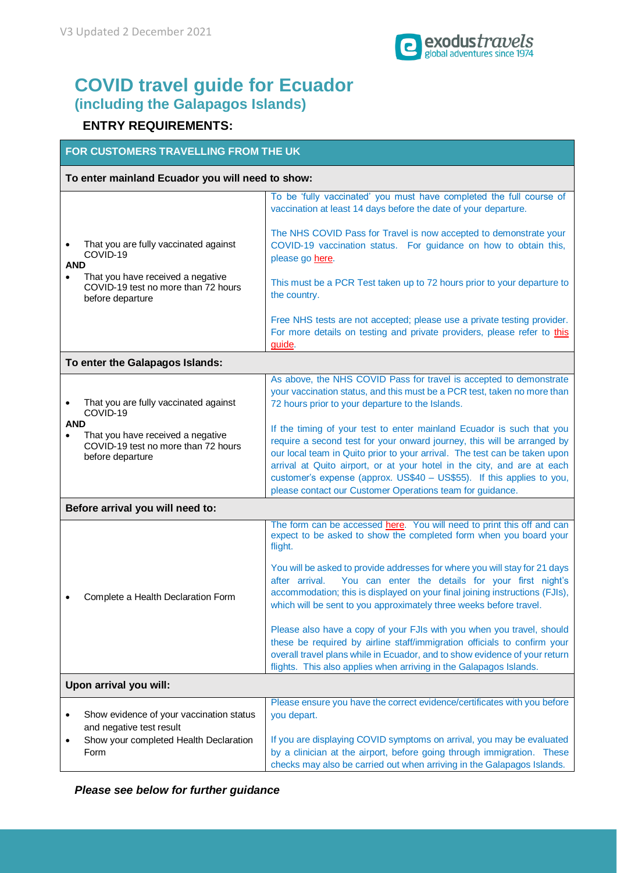

# **COVID travel guide for Ecuador (including the Galapagos Islands)**

# **ENTRY REQUIREMENTS:**

#### **FOR CUSTOMERS TRAVELLING FROM THE UK**

### **To enter mainland Ecuador you will need to show:**

|                         |                                                                                              | To be 'fully vaccinated' you must have completed the full course of<br>vaccination at least 14 days before the date of your departure.                                                                                                                                                                                                                                                                                                         |  |  |  |
|-------------------------|----------------------------------------------------------------------------------------------|------------------------------------------------------------------------------------------------------------------------------------------------------------------------------------------------------------------------------------------------------------------------------------------------------------------------------------------------------------------------------------------------------------------------------------------------|--|--|--|
| <b>AND</b><br>$\bullet$ | That you are fully vaccinated against<br>COVID-19                                            | The NHS COVID Pass for Travel is now accepted to demonstrate your<br>COVID-19 vaccination status. For guidance on how to obtain this,<br>please go here.                                                                                                                                                                                                                                                                                       |  |  |  |
|                         | That you have received a negative<br>COVID-19 test no more than 72 hours<br>before departure | This must be a PCR Test taken up to 72 hours prior to your departure to<br>the country.                                                                                                                                                                                                                                                                                                                                                        |  |  |  |
|                         |                                                                                              | Free NHS tests are not accepted; please use a private testing provider.<br>For more details on testing and private providers, please refer to this<br>guide.                                                                                                                                                                                                                                                                                   |  |  |  |
|                         | To enter the Galapagos Islands:                                                              |                                                                                                                                                                                                                                                                                                                                                                                                                                                |  |  |  |
| <b>AND</b><br>$\bullet$ | That you are fully vaccinated against<br>COVID-19                                            | As above, the NHS COVID Pass for travel is accepted to demonstrate<br>your vaccination status, and this must be a PCR test, taken no more than<br>72 hours prior to your departure to the Islands.                                                                                                                                                                                                                                             |  |  |  |
|                         | That you have received a negative<br>COVID-19 test no more than 72 hours<br>before departure | If the timing of your test to enter mainland Ecuador is such that you<br>require a second test for your onward journey, this will be arranged by<br>our local team in Quito prior to your arrival. The test can be taken upon<br>arrival at Quito airport, or at your hotel in the city, and are at each<br>customer's expense (approx. US\$40 - US\$55). If this applies to you,<br>please contact our Customer Operations team for guidance. |  |  |  |
|                         | Before arrival you will need to:                                                             |                                                                                                                                                                                                                                                                                                                                                                                                                                                |  |  |  |
|                         |                                                                                              | The form can be accessed here. You will need to print this off and can<br>expect to be asked to show the completed form when you board your<br>flight.                                                                                                                                                                                                                                                                                         |  |  |  |
|                         | Complete a Health Declaration Form                                                           | You will be asked to provide addresses for where you will stay for 21 days<br>You can enter the details for your first night's<br>after arrival.<br>accommodation; this is displayed on your final joining instructions (FJIs),<br>which will be sent to you approximately three weeks before travel.                                                                                                                                          |  |  |  |
|                         |                                                                                              | Please also have a copy of your FJIs with you when you travel, should<br>these be required by airline staff/immigration officials to confirm your<br>overall travel plans while in Ecuador, and to show evidence of your return<br>flights. This also applies when arriving in the Galapagos Islands.                                                                                                                                          |  |  |  |
|                         | Upon arrival you will:                                                                       |                                                                                                                                                                                                                                                                                                                                                                                                                                                |  |  |  |
| ٠                       | Show evidence of your vaccination status<br>and negative test result                         | Please ensure you have the correct evidence/certificates with you before<br>you depart.                                                                                                                                                                                                                                                                                                                                                        |  |  |  |
| ٠                       | Show your completed Health Declaration<br>Form                                               | If you are displaying COVID symptoms on arrival, you may be evaluated<br>by a clinician at the airport, before going through immigration. These<br>checks may also be carried out when arriving in the Galapagos Islands.                                                                                                                                                                                                                      |  |  |  |

*Please see below for further guidance*